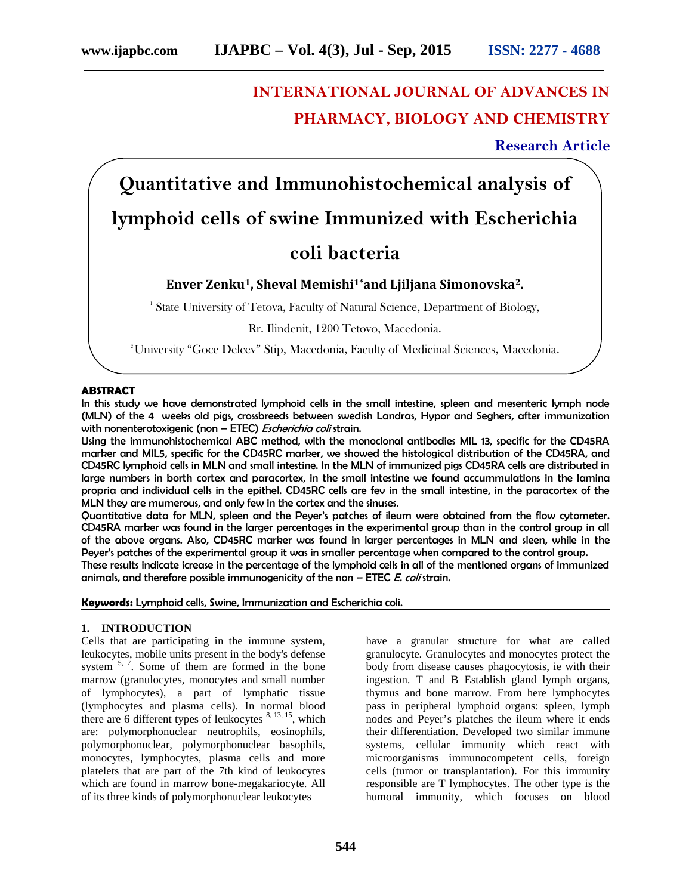# **INTERNATIONAL JOURNAL OF ADVANCES IN PHARMACY, BIOLOGY AND CHEMISTRY**

**Research Article**

**Quantitative and Immunohistochemical analysis of lymphoid cells of swine Immunized with Escherichia**

## **coli bacteria**

### **Enver Zenku1, Sheval Memishi1\*and Ljiljana Simonovska2.**

<sup>1</sup> State University of Tetova, Faculty of Natural Science, Department of Biology,

Rr. Ilindenit, 1200 Tetovo, Macedonia.

<sup>2</sup>University "Goce Delcev" Stip, Macedonia, Faculty of Medicinal Sciences, Macedonia.

#### **ABSTRACT**

In this study we have demonstrated lymphoid cells in the small intestine, spleen and mesenteric lymph node (MLN) of the 4 weeks old pigs, crossbreeds between swedish Landras, Hypor and Seghers, after immunization with nonenterotoxigenic (non – ETEC) *Escherichia coli* strain.

Using the immunohistochemical ABC method, with the monoclonal antibodies MIL 13, specific for the CD45RA marker and MIL5, specific for the CD45RC marker, we showed the histological distribution of the CD45RA, and CD45RC lymphoid cells in MLN and small intestine. In the MLN of immunized pigs CD45RA cells are distributed in large numbers in borth cortex and paracortex, in the small intestine we found accummulations in the lamina propria and individual cells in the epithel. CD45RC cells are fev in the small intestine, in the paracortex of the MLN they are mumerous, and only few in the cortex and the sinuses.

Quantitative data for MLN, spleen and the Peyer's patches of ileum were obtained from the flow cytometer. CD45RA marker was found in the larger percentages in the experimental group than in the control group in all of the above organs. Also, CD45RC marker was found in larger percentages in MLN and sleen, while in the Peyer's patches of the experimental group it was in smaller percentage when compared to the control group.

These results indicate icrease in the percentage of the lymphoid cells in all of the mentioned organs of immunized animals, and therefore possible immunogenicity of the non – ETEC *E. coli* strain.

**Keywords:** Lymphoid cells, Swine, Immunization and Escherichia coli.

#### **1. INTRODUCTION**

Cells that are participating in the immune system, leukocytes, mobile units present in the body's defense system  $5, 7$ . Some of them are formed in the bone marrow (granulocytes, monocytes and small number of lymphocytes), a part of lymphatic tissue (lymphocytes and plasma cells). In normal blood there are 6 different types of leukocytes  $8, 13, 15$ , which are: polymorphonuclear neutrophils, eosinophils, polymorphonuclear, polymorphonuclear basophils, monocytes, lymphocytes, plasma cells and more platelets that are part of the 7th kind of leukocytes which are found in marrow bone-megakariocyte. All of its three kinds of polymorphonuclear leukocytes

have a granular structure for what are called granulocyte. Granulocytes and monocytes protect the body from disease causes phagocytosis, ie with their ingestion. T and B Establish gland lymph organs, thymus and bone marrow. From here lymphocytes pass in peripheral lymphoid organs: spleen, lymph nodes and Peyer's platches the ileum where it ends their differentiation. Developed two similar immune systems, cellular immunity which react with microorganisms immunocompetent cells, foreign cells (tumor or transplantation). For this immunity responsible are T lymphocytes. The other type is the humoral immunity, which focuses on blood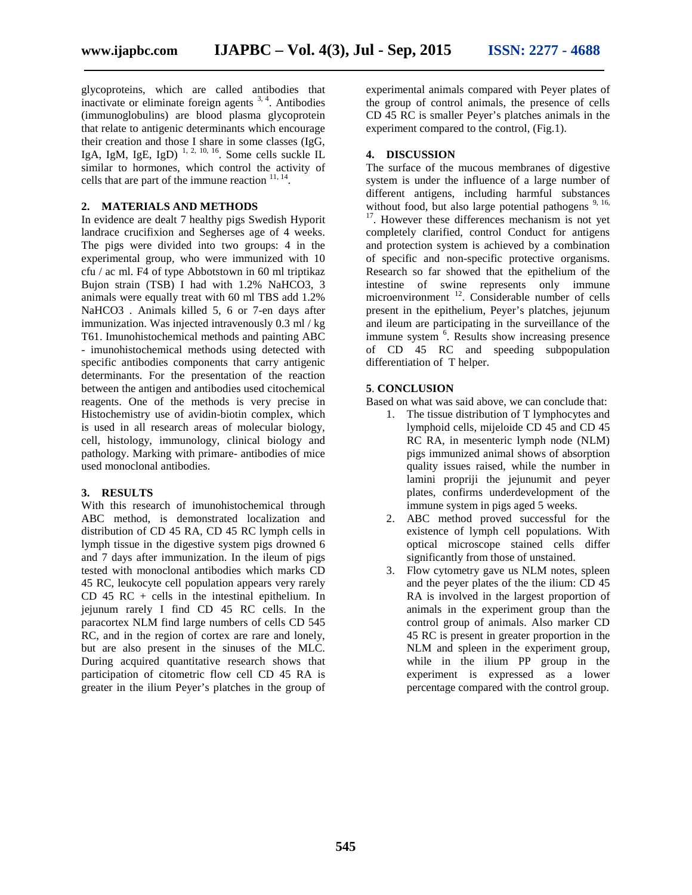glycoproteins, which are called antibodies that inactivate or eliminate foreign agents  $3, 4$ . Antibodies (immunoglobulins) are blood plasma glycoprotein that relate to antigenic determinants which encourage their creation and those I share in some classes (IgG, IgA, IgM, IgE, IgD)<sup> $1, 2, 10, 16$ </sup>. Some cells suckle IL  $\qquad 4$ . similar to hormones, which control the activity of cells that are part of the immune reaction  $11, 14$ .

#### **2. MATERIALS AND METHODS**

In evidence are dealt 7 healthy pigs Swedish Hyporit landrace crucifixion and Segherses age of 4 weeks. The pigs were divided into two groups: 4 in the experimental group, who were immunized with 10 cfu / ac ml. F4 of type Abbotstown in 60 ml triptikaz Bujon strain (TSB) I had with 1.2% NaHCO3, 3 animals were equally treat with 60 ml TBS add 1.2% NaHCO3 . Animals killed 5, 6 or 7-en days after immunization. Was injected intravenously 0.3 ml / kg T61. Imunohistochemical methods and painting ABC - imunohistochemical methods using detected with specific antibodies components that carry antigenic determinants. For the presentation of the reaction between the antigen and antibodies used citochemical reagents. One of the methods is very precise in Histochemistry use of avidin-biotin complex, which is used in all research areas of molecular biology, cell, histology, immunology, clinical biology and pathology. Marking with primare- antibodies of mice used monoclonal antibodies.

#### **3. RESULTS**

With this research of imunohistochemical through ABC method, is demonstrated localization and distribution of CD 45 RA, CD 45 RC lymph cells in lymph tissue in the digestive system pigs drowned 6 and 7 days after immunization. In the ileum of pigs tested with monoclonal antibodies which marks CD 45 RC, leukocyte cell population appears very rarely CD 45 RC + cells in the intestinal epithelium. In jejunum rarely I find CD 45 RC cells. In the paracortex NLM find large numbers of cells CD 545 RC, and in the region of cortex are rare and lonely, but are also present in the sinuses of the MLC. During acquired quantitative research shows that participation of citometric flow cell CD 45 RA is greater in the ilium Peyer's platches in the group of

experimental animals compared with Peyer plates of the group of control animals, the presence of cells CD 45 RC is smaller Peyer's platches animals in the experiment compared to the control, (Fig.1).

#### **4. DISCUSSION**

The surface of the mucous membranes of digestive system is under the influence of a large number of different antigens, including harmful substances without food, but also large potential pathogens  $9, 16$ ,  $17$ . However these differences mechanism is not yet completely clarified, control Conduct for antigens and protection system is achieved by a combination of specific and non-specific protective organisms. Research so far showed that the epithelium of the intestine of swine represents only immune microenvironment <sup>12</sup>. Considerable number of cells present in the epithelium, Peyer's platches, jejunum and ileum are participating in the surveillance of the immune system <sup>6</sup>. Results show increasing presence of CD 45 RC and speeding subpopulation differentiation of T helper.

#### **5**. **CONCLUSION**

Based on what was said above, we can conclude that:

- 1. The tissue distribution of T lymphocytes and lymphoid cells, mijeloide CD 45 and CD 45 RC RA, in mesenteric lymph node (NLM) pigs immunized animal shows of absorption quality issues raised, while the number in lamini propriji the jejunumit and peyer plates, confirms underdevelopment of the immune system in pigs aged 5 weeks.
- 2. ABC method proved successful for the existence of lymph cell populations. With optical microscope stained cells differ significantly from those of unstained.
- Flow cytometry gave us NLM notes, spleen and the peyer plates of the the ilium: CD 45 RA is involved in the largest proportion of animals in the experiment group than the control group of animals. Also marker CD 45 RC is present in greater proportion in the NLM and spleen in the experiment group, while in the ilium PP group in the experiment is expressed as a lower percentage compared with the control group.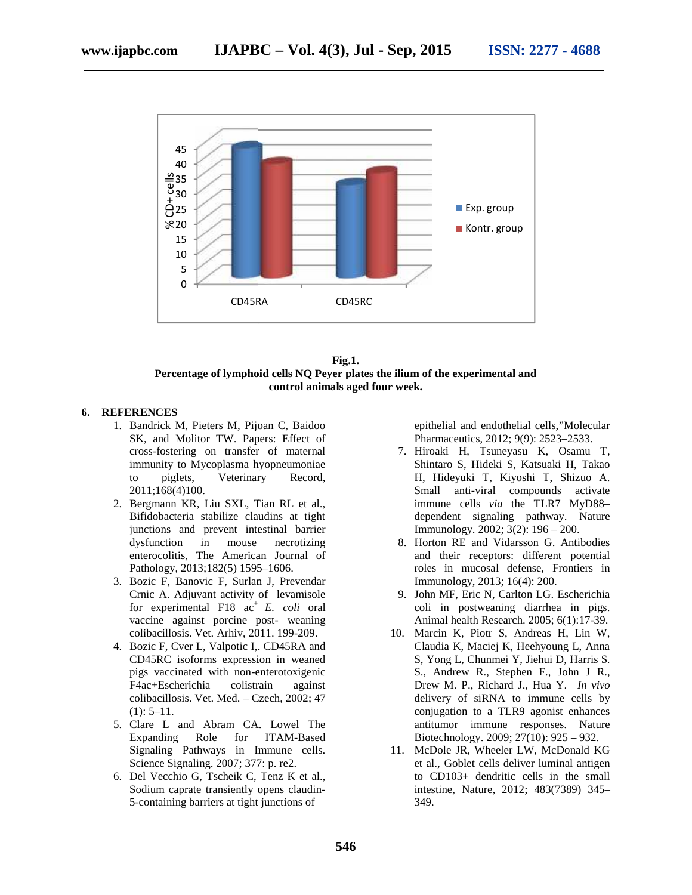



#### **6. REFERENCES**

- 1. Bandrick M, Pieters M, Pijoan C, Baidoo SK, and Molitor TW. Papers: Effect of cross-fostering on transfer of maternal immunity to Mycoplasma hyopneumoniae to piglets, Veterinary Record, 2011;168(4)100. ring on transfer of maternal<br>to Mycoplasma hyopneumoniae<br>lets, Veterinary Record,<br>4)100.<br>KR, Liu SXL, Tian RL et al.,<br>eria stabilize claudins at tight<br>and prevent intestinal barrier
- 2. Bergmann KR, Liu SXL, Tian RL et al., Bifidobacteria stabilize claudins at tight junctions and prevent intestinal barrier dysfunction in mouse necrotizing enterocolitis, The American Journal of Pathology, 2013;182(5) 1595–1606.
- 3. Bozic F, Banovic F, Surlan J, Prevendar Crnic A. Adjuvant activity of levamisole for experimental  $F18$  ac<sup>+</sup> *E. coli* oral vaccine against porcine post- weaning colibacillosis. Vet. Arhiv, 2011. 199-209. vaccine against porcine post- weaning<br>colibacillosis. Vet. Arhiv, 2011. 199-209.<br>4. Bozic F, Cver L, Valpotic I,. CD45RA and
- CD45RC isoforms expression in weaned pigs vaccinated with non-enterotoxigenic F4ac+Escherichia colistrain against colibacillosis. Vet. Med. – Czech, 2002; 47  $(1): 5-11.$
- 5. Clare L and Abram CA. Lowel The Expanding Role for ITAM-Based Signaling Pathways in Immune cells. Science Signaling. 2007; 377: p. re2.
- 6. Del Vecchio G, Tscheik C, Tenz K et al., Sodium caprate transiently opens claudin- 5-containing barriers at tight junctions of

epithelial and endothelial cells,"Molecular Pharmaceutics, 2012; 9(9): 2523–2533.

- 7. Hiroaki H, Tsuneyasu K, Osamu T, Shintaro S, Hideki S, Katsuaki H, Takao H, Hideyuki T, Kiyoshi T, Shizuo A. Small anti-viral compounds activate immune cells *via* the TLR7 MyD88– dependent signaling pathway. Nature Immunology. 2002; 3(2): 196 – 200.
- 8. Horton RE and Vidarsson G. Antibodies and their receptors: different potential roles in mucosal defense, Frontiers in Immunology, 2013; 16(4): 200.
- 9. John MF, Eric N, Carlton LG. Escherichia coli in postweaning diarrhea in pigs. Animal health Research. 2005; 6(1):17-39.
- 10. Marcin K, Piotr S, Andreas H, Lin W, Claudia K, Maciej K, Heehyoung L, Anna S, Yong L, Chunmei Y, Jiehui D, Harris S. S., Andrew R., Stephen F., John J R., Drew M. P., Richard J., Hua Y. *In vivo* delivery of siRNA to immune cells by conjugation to a TLR9 agonist enhances antitumor immune responses. Nature Biotechnology. 2009; 27(10): 925 – 932. Bardrick M, Pieters M, Pijonn C, Baidoo<br>
SK, and Molitor TW, Papers: Effect of<br>
Fharmaceutics, 2012; 9(9): 2523-2533.<br>
Tross-footering on transfer of maternal<br>
immunity to Mycoplasma hyopten morals of the maternal<br>
immuni and their receptors: different potential<br>roles in mucosal defense, Frontiers in<br>Immunology, 2013; 16(4): 200.<br>John MF, Eric N, Carlton LG. Escherichia<br>coli in postweaning diarrhea in pigs.<br>Animal health Research. 2005; 6(1 livery of siRNA to immune cells by<br>njugation to a TLR9 agonist enhances<br>ititumor immune responses. Nature<br>otechnology. 2009; 27(10): 925 – 932.<br>cDole JR, Wheeler LW, McDonald KG<br>al., Goblet cells deliver luminal antigen<br>CD
	- 11. McDole JR, Wheeler LW, McDonald KG et al., Goblet cells deliver luminal antigen to CD103+ dendritic cells in the small intestine, Nature, 2012; 483(7389) 345– 349.